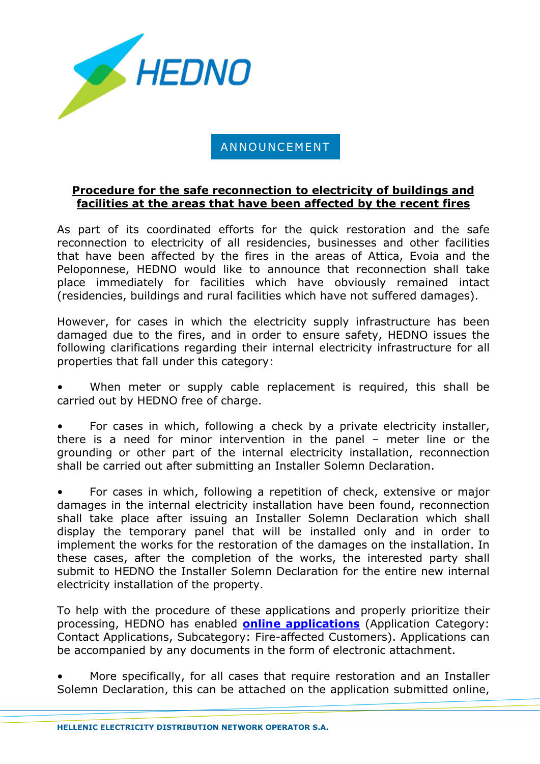

## ANNOUNCEMENT

## **Procedure for the safe reconnection to electricity of buildings and facilities at the areas that have been affected by the recent fires**

As part of its coordinated efforts for the quick restoration and the safe reconnection to electricity of all residencies, businesses and other facilities that have been affected by the fires in the areas of Attica, Evoia and the Peloponnese, HEDNO would like to announce that reconnection shall take place immediately for facilities which have obviously remained intact (residencies, buildings and rural facilities which have not suffered damages).

However, for cases in which the electricity supply infrastructure has been damaged due to the fires, and in order to ensure safety, HEDNO issues the following clarifications regarding their internal electricity infrastructure for all properties that fall under this category:

When meter or supply cable replacement is required, this shall be carried out by HEDNO free of charge.

• For cases in which, following a check by a private electricity installer, there is a need for minor intervention in the panel – meter line or the grounding or other part of the internal electricity installation, reconnection shall be carried out after submitting an Installer Solemn Declaration.

• For cases in which, following a repetition of check, extensive or major damages in the internal electricity installation have been found, reconnection shall take place after issuing an Installer Solemn Declaration which shall display the temporary panel that will be installed only and in order to implement the works for the restoration of the damages on the installation. In these cases, after the completion of the works, the interested party shall submit to HEDNO the Installer Solemn Declaration for the entire new internal electricity installation of the property.

To help with the procedure of these applications and properly prioritize their processing, HEDNO has enabled **[online applications](https://apps.deddie.gr/ccrWebapp/)** (Application Category: Contact Applications, Subcategory: Fire-affected Customers). Applications can be accompanied by any documents in the form of electronic attachment.

• More specifically, for all cases that require restoration and an Installer Solemn Declaration, this can be attached on the application submitted online,